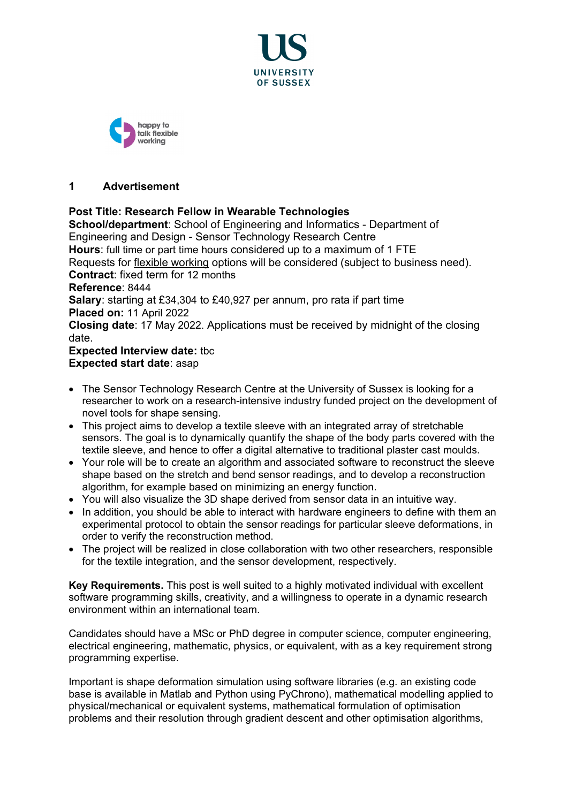



#### **1 Advertisement**

#### **Post Title: Research Fellow in Wearable Technologies**

**School/department**: School of Engineering and Informatics - Department of Engineering and Design - Sensor Technology Research Centre **Hours**: full time or part time hours considered up to a maximum of 1 FTE Requests for [flexible working](http://www.sussex.ac.uk/humanresources/personnel/flexible-working) options will be considered (subject to business need). **Contract**: fixed term for 12 months **Reference**: 8444 **Salary**: starting at £34,304 to £40,927 per annum, pro rata if part time **Placed on:** 11 April 2022 **Closing date**: 17 May 2022. Applications must be received by midnight of the closing date. **Expected Interview date: tbc** 

### **Expected start date**: asap

- The Sensor Technology Research Centre at the University of Sussex is looking for a researcher to work on a research-intensive industry funded project on the development of novel tools for shape sensing.
- This project aims to develop a textile sleeve with an integrated array of stretchable sensors. The goal is to dynamically quantify the shape of the body parts covered with the textile sleeve, and hence to offer a digital alternative to traditional plaster cast moulds.
- Your role will be to create an algorithm and associated software to reconstruct the sleeve shape based on the stretch and bend sensor readings, and to develop a reconstruction algorithm, for example based on minimizing an energy function.
- You will also visualize the 3D shape derived from sensor data in an intuitive way.
- In addition, you should be able to interact with hardware engineers to define with them an experimental protocol to obtain the sensor readings for particular sleeve deformations, in order to verify the reconstruction method.
- The project will be realized in close collaboration with two other researchers, responsible for the textile integration, and the sensor development, respectively.

**Key Requirements.** This post is well suited to a highly motivated individual with excellent software programming skills, creativity, and a willingness to operate in a dynamic research environment within an international team.

Candidates should have a MSc or PhD degree in computer science, computer engineering, electrical engineering, mathematic, physics, or equivalent, with as a key requirement strong programming expertise.

Important is shape deformation simulation using software libraries (e.g. an existing code base is available in Matlab and Python using PyChrono), mathematical modelling applied to physical/mechanical or equivalent systems, mathematical formulation of optimisation problems and their resolution through gradient descent and other optimisation algorithms,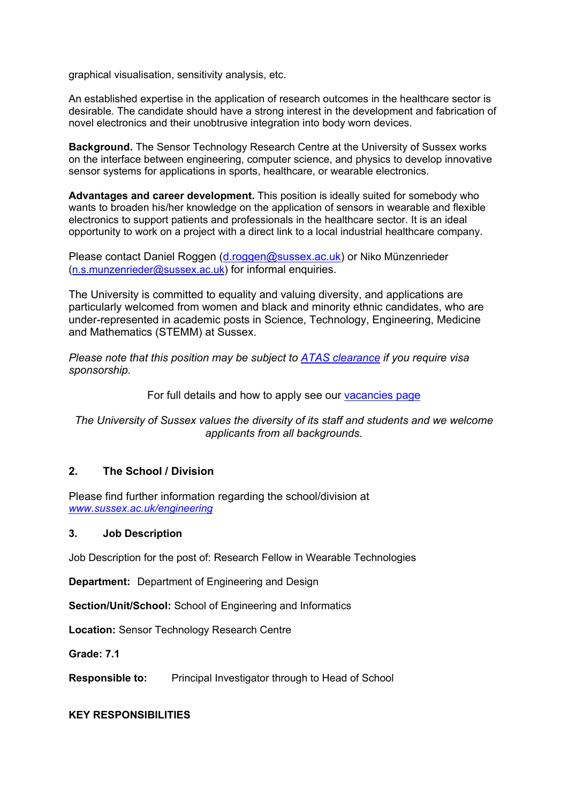graphical visualisation, sensitivity analysis, etc.

An established expertise in the application of research outcomes in the healthcare sector is desirable. The candidate should have a strong interest in the development and fabrication of novel electronics and their unobtrusive integration into body worn devices.

**Background.** The Sensor Technology Research Centre at the University of Sussex works on the interface between engineering, computer science, and physics to develop innovative sensor systems for applications in sports, healthcare, or wearable electronics.

**Advantages and career development.** This position is ideally suited for somebody who wants to broaden his/her knowledge on the application of sensors in wearable and flexible electronics to support patients and professionals in the healthcare sector. It is an ideal opportunity to work on a project with a direct link to a local industrial healthcare company.

Please contact Daniel Roggen (d.roggen@sussex.ac.uk) or Niko Münzenrieder (n.s.munzenrieder@sussex.ac.uk) for informal enquiries.

The University is committed to equality and valuing diversity, and applications are particularly welcomed from women and black and minority ethnic candidates, who are under-represented in academic posts in Science, Technology, Engineering, Medicine and Mathematics (STEMM) at Sussex.

*Please note that this position may be subject to [ATAS clearance](https://www.gov.uk/guidance/academic-technology-approval-scheme) if you require visa sponsorship.*

For full details and how to apply see our [vacancies page](http://www.sussex.ac.uk/about/jobs)

*The University of Sussex values the diversity of its staff and students and we welcome applicants from all backgrounds.*

#### **2. The School / Division**

Please find further information regarding the school/division at *[www.sussex.ac.uk/engineering](http://www.sussex.ac.uk/engineering)*

#### **3. Job Description**

Job Description for the post of: Research Fellow in Wearable Technologies

**Department:** Department of Engineering and Design

**Section/Unit/School:** School of Engineering and Informatics

**Location:** Sensor Technology Research Centre

**Grade: 7.1**

**Responsible to:** Principal Investigator through to Head of School

#### **KEY RESPONSIBILITIES**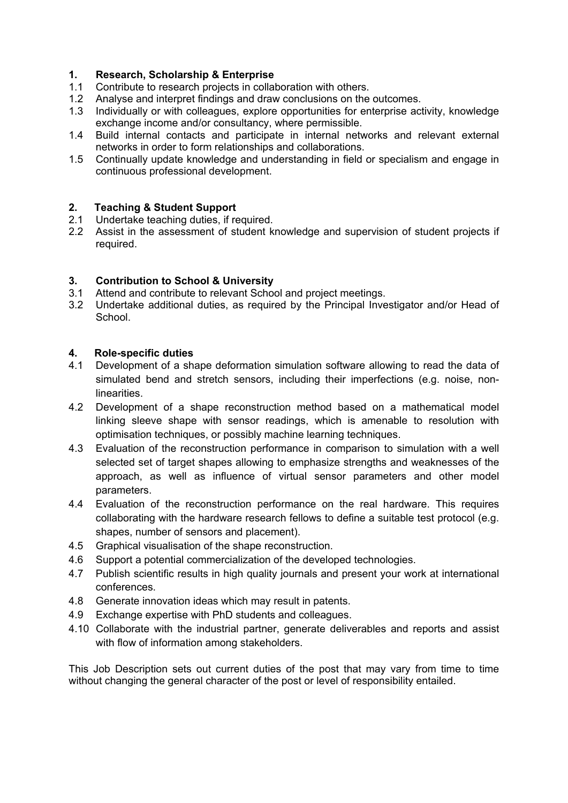#### **1. Research, Scholarship & Enterprise**

- 1.1 Contribute to research projects in collaboration with others.
- 1.2 Analyse and interpret findings and draw conclusions on the outcomes.<br>1.3 Individually or with colleagues, explore opportunities for enterprise act
- Individually or with colleagues, explore opportunities for enterprise activity, knowledge exchange income and/or consultancy, where permissible.
- 1.4 Build internal contacts and participate in internal networks and relevant external networks in order to form relationships and collaborations.
- 1.5 Continually update knowledge and understanding in field or specialism and engage in continuous professional development.

# **2. Teaching & Student Support**

- Undertake teaching duties, if required.
- 2.2 Assist in the assessment of student knowledge and supervision of student projects if required.

#### **3. Contribution to School & University**

- 3.1 Attend and contribute to relevant School and project meetings.
- 3.2 Undertake additional duties, as required by the Principal Investigator and/or Head of School.

## **4. Role-specific duties**

- Development of a shape deformation simulation software allowing to read the data of simulated bend and stretch sensors, including their imperfections (e.g. noise, non**linearities**
- 4.2 Development of a shape reconstruction method based on a mathematical model linking sleeve shape with sensor readings, which is amenable to resolution with optimisation techniques, or possibly machine learning techniques.
- 4.3 Evaluation of the reconstruction performance in comparison to simulation with a well selected set of target shapes allowing to emphasize strengths and weaknesses of the approach, as well as influence of virtual sensor parameters and other model parameters.
- 4.4 Evaluation of the reconstruction performance on the real hardware. This requires collaborating with the hardware research fellows to define a suitable test protocol (e.g. shapes, number of sensors and placement).
- 4.5 Graphical visualisation of the shape reconstruction.
- 4.6 Support a potential commercialization of the developed technologies.
- 4.7 Publish scientific results in high quality journals and present your work at international conferences.
- 4.8 Generate innovation ideas which may result in patents.
- 4.9 Exchange expertise with PhD students and colleagues.
- 4.10 Collaborate with the industrial partner, generate deliverables and reports and assist with flow of information among stakeholders.

This Job Description sets out current duties of the post that may vary from time to time without changing the general character of the post or level of responsibility entailed.